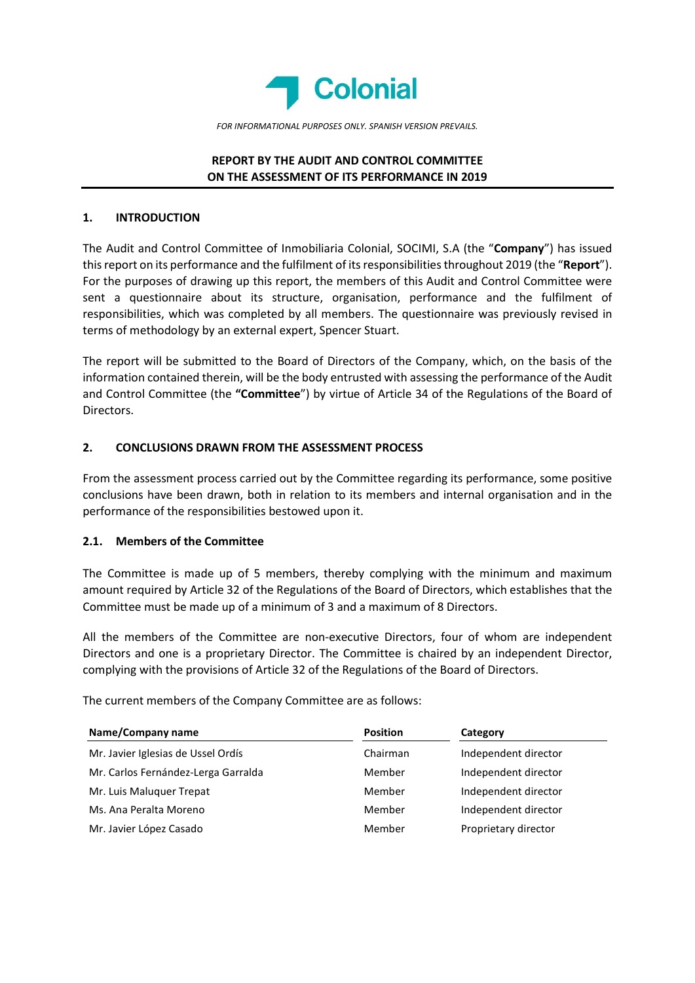

## REPORT BY THE AUDIT AND CONTROL COMMITTEE ON THE ASSESSMENT OF ITS PERFORMANCE IN 2019

### 1. INTRODUCTION

The Audit and Control Committee of Inmobiliaria Colonial, SOCIMI, S.A (the "Company") has issued this report on its performance and the fulfilment of its responsibilities throughout 2019 (the "Report"). For the purposes of drawing up this report, the members of this Audit and Control Committee were sent a questionnaire about its structure, organisation, performance and the fulfilment of responsibilities, which was completed by all members. The questionnaire was previously revised in terms of methodology by an external expert, Spencer Stuart.

The report will be submitted to the Board of Directors of the Company, which, on the basis of the information contained therein, will be the body entrusted with assessing the performance of the Audit and Control Committee (the "Committee") by virtue of Article 34 of the Regulations of the Board of Directors.

# 2. CONCLUSIONS DRAWN FROM THE ASSESSMENT PROCESS

From the assessment process carried out by the Committee regarding its performance, some positive conclusions have been drawn, both in relation to its members and internal organisation and in the performance of the responsibilities bestowed upon it.

## 2.1. Members of the Committee

The Committee is made up of 5 members, thereby complying with the minimum and maximum amount required by Article 32 of the Regulations of the Board of Directors, which establishes that the Committee must be made up of a minimum of 3 and a maximum of 8 Directors.

All the members of the Committee are non-executive Directors, four of whom are independent Directors and one is a proprietary Director. The Committee is chaired by an independent Director, complying with the provisions of Article 32 of the Regulations of the Board of Directors.

The current members of the Company Committee are as follows:

| Name/Company name                   | <b>Position</b> | Category             |
|-------------------------------------|-----------------|----------------------|
| Mr. Javier Iglesias de Ussel Ordís  | Chairman        | Independent director |
| Mr. Carlos Fernández-Lerga Garralda | Member          | Independent director |
| Mr. Luis Maluquer Trepat            | Member          | Independent director |
| Ms. Ana Peralta Moreno              | Member          | Independent director |
| Mr. Javier López Casado             | Member          | Proprietary director |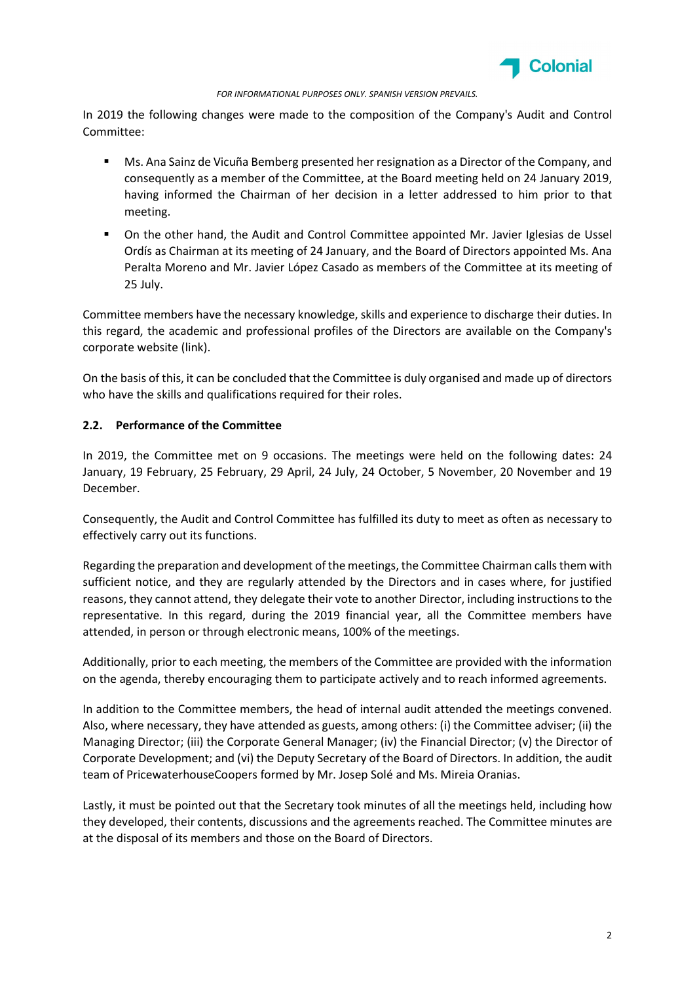

In 2019 the following changes were made to the composition of the Company's Audit and Control Committee:

- Ms. Ana Sainz de Vicuña Bemberg presented her resignation as a Director of the Company, and consequently as a member of the Committee, at the Board meeting held on 24 January 2019, having informed the Chairman of her decision in a letter addressed to him prior to that meeting.
- On the other hand, the Audit and Control Committee appointed Mr. Javier Iglesias de Ussel Ordís as Chairman at its meeting of 24 January, and the Board of Directors appointed Ms. Ana Peralta Moreno and Mr. Javier López Casado as members of the Committee at its meeting of 25 July.

Committee members have the necessary knowledge, skills and experience to discharge their duties. In this regard, the academic and professional profiles of the Directors are available on the Company's corporate website (link).

On the basis of this, it can be concluded that the Committee is duly organised and made up of directors who have the skills and qualifications required for their roles.

### 2.2. Performance of the Committee

In 2019, the Committee met on 9 occasions. The meetings were held on the following dates: 24 January, 19 February, 25 February, 29 April, 24 July, 24 October, 5 November, 20 November and 19 December.

Consequently, the Audit and Control Committee has fulfilled its duty to meet as often as necessary to effectively carry out its functions.

Regarding the preparation and development of the meetings, the Committee Chairman calls them with sufficient notice, and they are regularly attended by the Directors and in cases where, for justified reasons, they cannot attend, they delegate their vote to another Director, including instructions to the representative. In this regard, during the 2019 financial year, all the Committee members have attended, in person or through electronic means, 100% of the meetings.

Additionally, prior to each meeting, the members of the Committee are provided with the information on the agenda, thereby encouraging them to participate actively and to reach informed agreements.

In addition to the Committee members, the head of internal audit attended the meetings convened. Also, where necessary, they have attended as guests, among others: (i) the Committee adviser; (ii) the Managing Director; (iii) the Corporate General Manager; (iv) the Financial Director; (v) the Director of Corporate Development; and (vi) the Deputy Secretary of the Board of Directors. In addition, the audit team of PricewaterhouseCoopers formed by Mr. Josep Solé and Ms. Mireia Oranias.

Lastly, it must be pointed out that the Secretary took minutes of all the meetings held, including how they developed, their contents, discussions and the agreements reached. The Committee minutes are at the disposal of its members and those on the Board of Directors.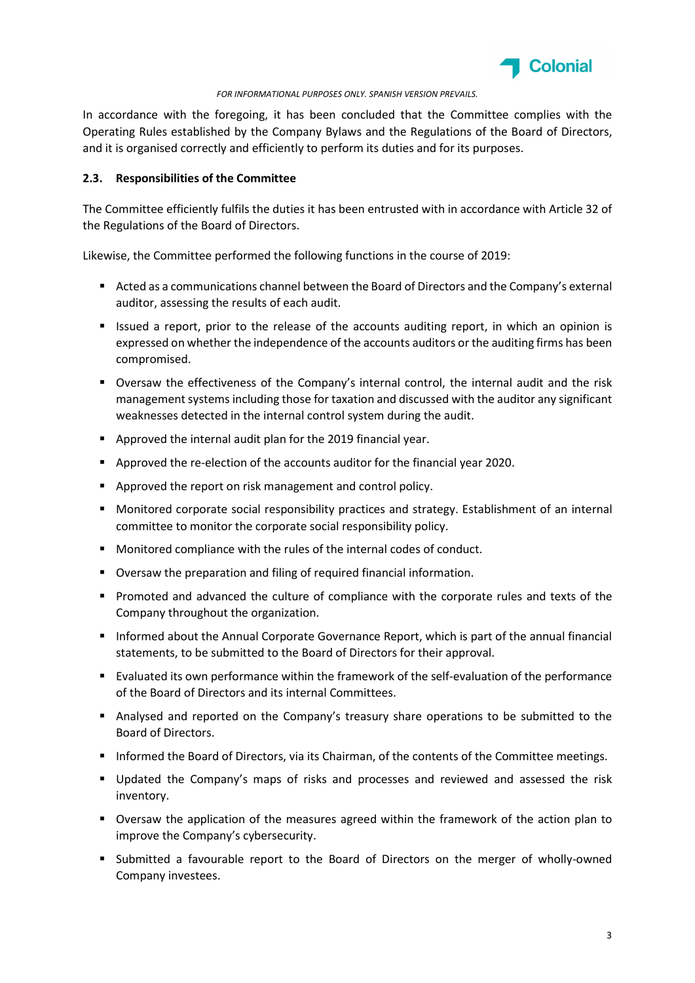

In accordance with the foregoing, it has been concluded that the Committee complies with the Operating Rules established by the Company Bylaws and the Regulations of the Board of Directors, and it is organised correctly and efficiently to perform its duties and for its purposes.

### 2.3. Responsibilities of the Committee

The Committee efficiently fulfils the duties it has been entrusted with in accordance with Article 32 of the Regulations of the Board of Directors.

Likewise, the Committee performed the following functions in the course of 2019:

- Acted as a communications channel between the Board of Directors and the Company's external auditor, assessing the results of each audit.
- Issued a report, prior to the release of the accounts auditing report, in which an opinion is expressed on whether the independence of the accounts auditors or the auditing firms has been compromised.
- Oversaw the effectiveness of the Company's internal control, the internal audit and the risk management systems including those for taxation and discussed with the auditor any significant weaknesses detected in the internal control system during the audit.
- Approved the internal audit plan for the 2019 financial year.
- Approved the re-election of the accounts auditor for the financial year 2020.
- Approved the report on risk management and control policy.
- Monitored corporate social responsibility practices and strategy. Establishment of an internal committee to monitor the corporate social responsibility policy.
- Monitored compliance with the rules of the internal codes of conduct.
- Oversaw the preparation and filing of required financial information.
- Promoted and advanced the culture of compliance with the corporate rules and texts of the Company throughout the organization.
- **Informed about the Annual Corporate Governance Report, which is part of the annual financial** statements, to be submitted to the Board of Directors for their approval.
- Evaluated its own performance within the framework of the self-evaluation of the performance of the Board of Directors and its internal Committees.
- Analysed and reported on the Company's treasury share operations to be submitted to the Board of Directors.
- **Informed the Board of Directors, via its Chairman, of the contents of the Committee meetings.**
- Updated the Company's maps of risks and processes and reviewed and assessed the risk inventory.
- Oversaw the application of the measures agreed within the framework of the action plan to improve the Company's cybersecurity.
- **Submitted a favourable report to the Board of Directors on the merger of wholly-owned** Company investees.